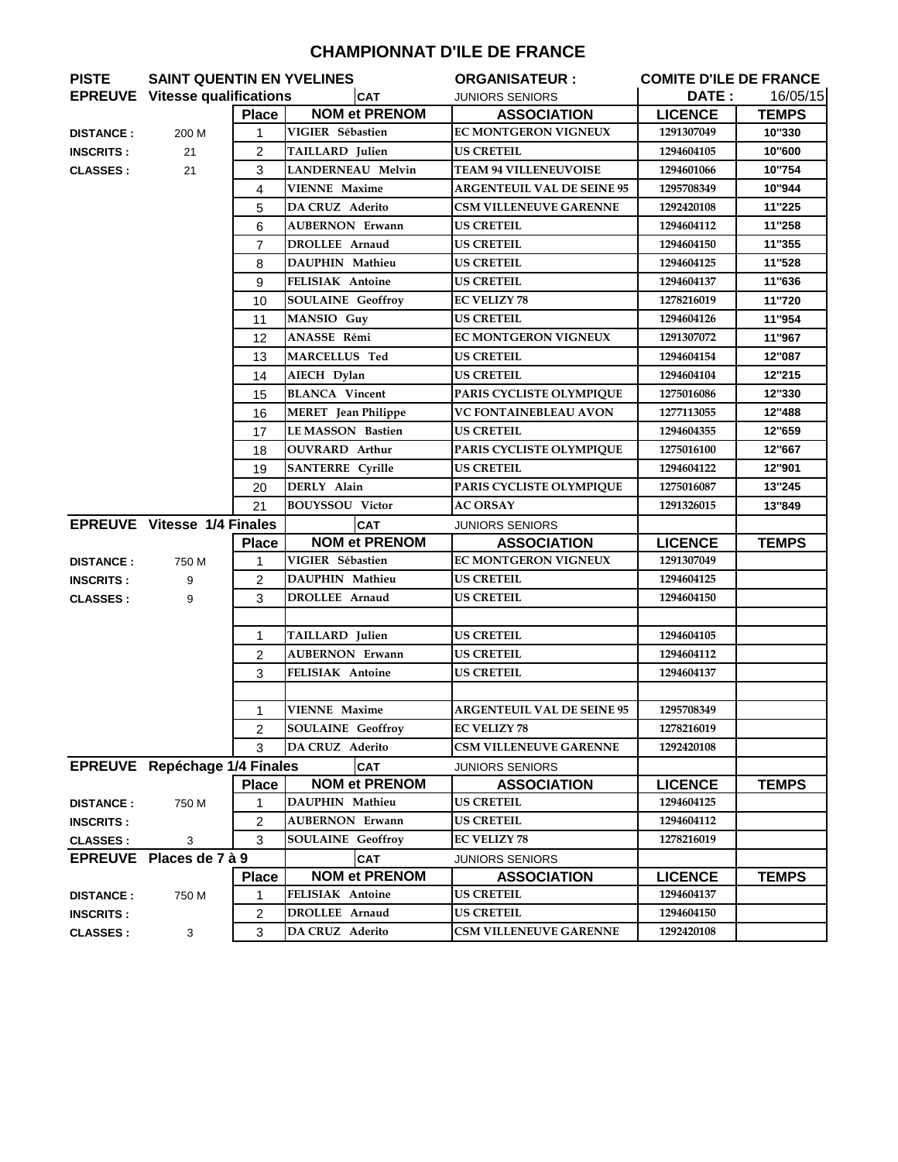## **CHAMPIONNAT D'ILE DE FRANCE**

| <b>PISTE</b>     |                                       | <b>SAINT QUENTIN EN YVELINES</b> |                            | <b>ORGANISATEUR :</b>             | <b>COMITE D'ILE DE FRANCE</b> |              |
|------------------|---------------------------------------|----------------------------------|----------------------------|-----------------------------------|-------------------------------|--------------|
|                  | <b>EPREUVE</b> Vitesse qualifications |                                  | <b>CAT</b>                 | <b>JUNIORS SENIORS</b>            | DATE :                        | 16/05/15     |
|                  |                                       | <b>Place</b>                     | <b>NOM et PRENOM</b>       | <b>ASSOCIATION</b>                | <b>LICENCE</b>                | <b>TEMPS</b> |
| <b>DISTANCE:</b> | 200 M                                 | 1                                | VIGIER Sébastien           | <b>EC MONTGERON VIGNEUX</b>       | 1291307049                    | 10"330       |
| <b>INSCRITS:</b> | 21                                    | $\overline{2}$                   | TAILLARD Julien            | US CRETEIL                        | 1294604105                    | 10"600       |
| <b>CLASSES:</b>  | 21                                    | 3                                | <b>LANDERNEAU Melvin</b>   | <b>TEAM 94 VILLENEUVOISE</b>      | 1294601066                    | 10"754       |
|                  |                                       | 4                                | <b>VIENNE Maxime</b>       | <b>ARGENTEUIL VAL DE SEINE 95</b> | 1295708349                    | 10"944       |
|                  |                                       | 5                                | <b>DA CRUZ Aderito</b>     | <b>CSM VILLENEUVE GARENNE</b>     | 1292420108                    | 11"225       |
|                  |                                       | 6                                | <b>AUBERNON Erwann</b>     | <b>US CRETEIL</b>                 | 1294604112                    | 11"258       |
|                  |                                       | 7                                | <b>DROLLEE Arnaud</b>      | <b>US CRETEIL</b>                 | 1294604150                    | 11"355       |
|                  |                                       | 8                                | DAUPHIN Mathieu            | <b>US CRETEIL</b>                 | 1294604125                    | 11"528       |
|                  |                                       | 9                                | <b>FELISIAK Antoine</b>    | <b>US CRETEIL</b>                 | 1294604137                    | 11"636       |
|                  |                                       | 10                               | <b>SOULAINE Geoffroy</b>   | <b>EC VELIZY 78</b>               | 1278216019                    | 11"720       |
|                  |                                       | 11                               | MANSIO Guy                 | <b>US CRETEIL</b>                 | 1294604126                    | 11"954       |
|                  |                                       | 12                               | ANASSE Rémi                | <b>EC MONTGERON VIGNEUX</b>       | 1291307072                    | 11"967       |
|                  |                                       | 13                               | <b>MARCELLUS Ted</b>       | <b>US CRETEIL</b>                 | 1294604154                    | 12"087       |
|                  |                                       | 14                               | AIECH Dylan                | <b>US CRETEIL</b>                 | 1294604104                    | 12"215       |
|                  |                                       | 15                               | <b>BLANCA</b> Vincent      | PARIS CYCLISTE OLYMPIQUE          | 1275016086                    | 12"330       |
|                  |                                       | 16                               | <b>MERET</b> Jean Philippe | <b>VC FONTAINEBLEAU AVON</b>      | 1277113055                    | 12"488       |
|                  |                                       | 17                               | <b>LEMASSON Bastien</b>    | <b>US CRETEIL</b>                 | 1294604355                    | 12"659       |
|                  |                                       | 18                               | <b>OUVRARD</b> Arthur      | PARIS CYCLISTE OLYMPIQUE          | 1275016100                    | 12"667       |
|                  |                                       | 19                               | <b>SANTERRE Cyrille</b>    | <b>US CRETEIL</b>                 | 1294604122                    | 12"901       |
|                  |                                       | 20                               | DERLY Alain                | PARIS CYCLISTE OLYMPIQUE          | 1275016087                    | 13"245       |
|                  |                                       | 21                               | <b>BOUYSSOU Victor</b>     | <b>AC ORSAY</b>                   | 1291326015                    | 13"849       |
|                  | <b>EPREUVE</b> Vitesse 1/4 Finales    |                                  | <b>CAT</b>                 | <b>JUNIORS SENIORS</b>            |                               |              |
|                  |                                       | <b>Place</b>                     | <b>NOM et PRENOM</b>       | <b>ASSOCIATION</b>                | <b>LICENCE</b>                | <b>TEMPS</b> |
| <b>DISTANCE:</b> | 750 M                                 | $\mathbf 1$                      | VIGIER Sébastien           | <b>EC MONTGERON VIGNEUX</b>       | 1291307049                    |              |
| <b>INSCRITS:</b> | 9                                     | $\overline{2}$                   | DAUPHIN Mathieu            | <b>US CRETEIL</b>                 | 1294604125                    |              |
| <b>CLASSES:</b>  | 9                                     | 3                                | DROLLEE Arnaud             | <b>US CRETEIL</b>                 | 1294604150                    |              |
|                  |                                       |                                  |                            |                                   |                               |              |
|                  |                                       | 1                                | TAILLARD Julien            | <b>US CRETEIL</b>                 | 1294604105                    |              |
|                  |                                       | $\overline{2}$                   | <b>AUBERNON Erwann</b>     | <b>US CRETEIL</b>                 | 1294604112                    |              |
|                  |                                       | 3                                | FELISIAK Antoine           | <b>US CRETEIL</b>                 | 1294604137                    |              |
|                  |                                       |                                  |                            |                                   |                               |              |
|                  |                                       | 1                                | <b>VIENNE Maxime</b>       | <b>ARGENTEUIL VAL DE SEINE 95</b> | 1295708349                    |              |
|                  |                                       | $\overline{2}$                   | <b>SOULAINE Geoffroy</b>   | <b>EC VELIZY 78</b>               | 1278216019                    |              |
|                  |                                       | 3                                | <b>DA CRUZ Aderito</b>     | <b>CSM VILLENEUVE GARENNE</b>     | 1292420108                    |              |
|                  | EPREUVE Repéchage 1/4 Finales         |                                  | <b>CAT</b>                 | <b>JUNIORS SENIORS</b>            |                               |              |
|                  |                                       | <b>Place</b>                     | <b>NOM et PRENOM</b>       | <b>ASSOCIATION</b>                | <b>LICENCE</b>                | <b>TEMPS</b> |
| <b>DISTANCE:</b> | 750 M                                 | 1                                | DAUPHIN Mathieu            | <b>US CRETEIL</b>                 | 1294604125                    |              |
| <b>INSCRITS:</b> |                                       | 2                                | <b>AUBERNON Erwann</b>     | <b>US CRETEIL</b>                 | 1294604112                    |              |
| <b>CLASSES:</b>  | 3                                     | 3                                | <b>SOULAINE Geoffroy</b>   | <b>EC VELIZY 78</b>               | 1278216019                    |              |
|                  | EPREUVE Places de 7 à 9               |                                  | <b>CAT</b>                 | <b>JUNIORS SENIORS</b>            |                               |              |
|                  |                                       | <b>Place</b>                     | <b>NOM et PRENOM</b>       | <b>ASSOCIATION</b>                | <b>LICENCE</b>                | <b>TEMPS</b> |
| <b>DISTANCE:</b> | 750 M                                 | 1                                | FELISIAK Antoine           | <b>US CRETEIL</b>                 | 1294604137                    |              |
| <b>INSCRITS:</b> |                                       | 2                                | DROLLEE Arnaud             | <b>US CRETEIL</b>                 | 1294604150                    |              |
| <b>CLASSES:</b>  | $\mathbf{3}$                          | 3                                | DA CRUZ Aderito            | <b>CSM VILLENEUVE GARENNE</b>     | 1292420108                    |              |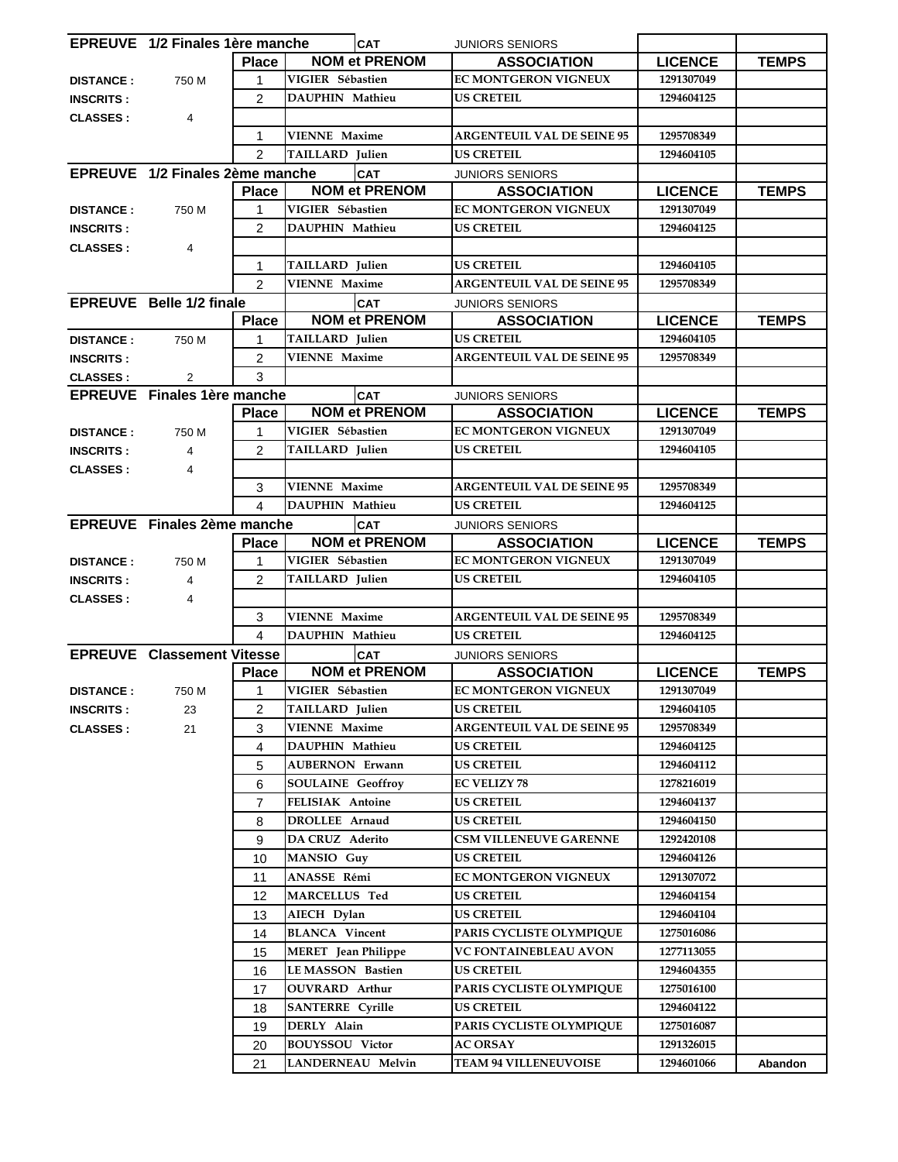|                  | EPREUVE 1/2 Finales 1ère manche    |                |                                             | <b>CAT</b>           | <b>JUNIORS SENIORS</b>                          |                          |              |
|------------------|------------------------------------|----------------|---------------------------------------------|----------------------|-------------------------------------------------|--------------------------|--------------|
|                  |                                    | <b>Place</b>   |                                             | <b>NOM et PRENOM</b> | <b>ASSOCIATION</b>                              | <b>LICENCE</b>           | <b>TEMPS</b> |
| <b>DISTANCE:</b> | 750 M                              | 1              | VIGIER Sébastien                            |                      | <b>EC MONTGERON VIGNEUX</b>                     | 1291307049               |              |
| <b>INSCRITS:</b> |                                    | 2              | DAUPHIN Mathieu                             |                      | <b>US CRETEIL</b>                               | 1294604125               |              |
| <b>CLASSES:</b>  | 4                                  |                |                                             |                      |                                                 |                          |              |
|                  |                                    | $\mathbf{1}$   | <b>VIENNE Maxime</b>                        |                      | <b>ARGENTEUIL VAL DE SEINE 95</b>               | 1295708349               |              |
|                  |                                    | $\mathcal{P}$  | <b>TAILLARD</b> Julien                      |                      | <b>US CRETEIL</b>                               | 1294604105               |              |
|                  | EPREUVE 1/2 Finales 2ème manche    |                |                                             | <b>CAT</b>           | <b>JUNIORS SENIORS</b>                          |                          |              |
|                  |                                    | <b>Place</b>   |                                             | <b>NOM et PRENOM</b> | <b>ASSOCIATION</b>                              | <b>LICENCE</b>           | <b>TEMPS</b> |
| <b>DISTANCE:</b> | 750 M                              |                | VIGIER Sébastien                            |                      | <b>EC MONTGERON VIGNEUX</b>                     | 1291307049               |              |
| <b>INSCRITS:</b> |                                    | $\overline{2}$ | DAUPHIN Mathieu                             |                      | <b>US CRETEIL</b>                               | 1294604125               |              |
| <b>CLASSES:</b>  | 4                                  |                |                                             |                      |                                                 |                          |              |
|                  |                                    | 1              | TAILLARD Julien                             |                      | <b>US CRETEIL</b>                               | 1294604105               |              |
|                  |                                    | $\overline{2}$ | <b>VIENNE Maxime</b>                        |                      | <b>ARGENTEUIL VAL DE SEINE 95</b>               | 1295708349               |              |
|                  | <b>EPREUVE</b> Belle 1/2 finale    |                |                                             | <b>CAT</b>           | <b>JUNIORS SENIORS</b>                          |                          |              |
|                  |                                    | <b>Place</b>   |                                             | <b>NOM et PRENOM</b> | <b>ASSOCIATION</b>                              | <b>LICENCE</b>           | <b>TEMPS</b> |
| <b>DISTANCE:</b> | 750 M                              | 1              | TAILLARD Julien                             |                      | <b>US CRETEIL</b>                               | 1294604105               |              |
| <b>INSCRITS:</b> |                                    | $\overline{2}$ | <b>VIENNE Maxime</b>                        |                      | <b>ARGENTEUIL VAL DE SEINE 95</b>               | 1295708349               |              |
| <b>CLASSES:</b>  | $\overline{2}$                     | 3              |                                             |                      |                                                 |                          |              |
|                  | <b>EPREUVE</b> Finales 1ère manche |                |                                             | <b>CAT</b>           | <b>JUNIORS SENIORS</b>                          |                          |              |
|                  |                                    | <b>Place</b>   |                                             | <b>NOM et PRENOM</b> | <b>ASSOCIATION</b>                              | <b>LICENCE</b>           | <b>TEMPS</b> |
| <b>DISTANCE:</b> | 750 M                              | 1              | VIGIER Sébastien                            |                      | <b>EC MONTGERON VIGNEUX</b>                     | 1291307049               |              |
| <b>INSCRITS:</b> | $\overline{4}$                     | $\overline{2}$ | <b>TAILLARD</b> Julien                      |                      | <b>US CRETEIL</b>                               | 1294604105               |              |
| <b>CLASSES:</b>  | 4                                  |                |                                             |                      |                                                 |                          |              |
|                  |                                    | 3              | <b>VIENNE Maxime</b>                        |                      | <b>ARGENTEUIL VAL DE SEINE 95</b>               | 1295708349               |              |
|                  |                                    | 4              | DAUPHIN Mathieu                             |                      | <b>US CRETEIL</b>                               | 1294604125               |              |
|                  | EPREUVE Finales 2ème manche        |                |                                             | <b>CAT</b>           | <b>JUNIORS SENIORS</b>                          |                          |              |
|                  |                                    | <b>Place</b>   |                                             | <b>NOM et PRENOM</b> | <b>ASSOCIATION</b>                              | <b>LICENCE</b>           | <b>TEMPS</b> |
| <b>DISTANCE:</b> | 750 M                              | 1              | VIGIER Sébastien                            |                      | <b>EC MONTGERON VIGNEUX</b>                     | 1291307049               |              |
| <b>INSCRITS:</b> | 4                                  | $\overline{2}$ | TAILLARD Julien                             |                      | <b>US CRETEIL</b>                               | 1294604105               |              |
| <b>CLASSES:</b>  | 4                                  |                |                                             |                      |                                                 |                          |              |
|                  |                                    | 3              | <b>VIENNE Maxime</b>                        |                      | <b>ARGENTEUIL VAL DE SEINE 95</b>               | 1295708349               |              |
|                  |                                    | 4              | DAUPHIN Mathieu                             |                      | <b>US CRETEIL</b>                               | 1294604125               |              |
|                  | <b>EPREUVE Classement Vitesse</b>  |                |                                             | <b>CAT</b>           | <b>JUNIORS SENIORS</b>                          |                          |              |
|                  | <b>Place</b>                       |                |                                             | <b>NOM et PRENOM</b> | <b>ASSOCIATION</b>                              | <b>LICENCE</b>           | <b>TEMPS</b> |
| <b>DISTANCE:</b> | 750 M                              | 1              | VIGIER Sébastien                            |                      | <b>EC MONTGERON VIGNEUX</b>                     | 1291307049               |              |
| <b>INSCRITS:</b> | 23                                 | $\overline{c}$ | TAILLARD Julien                             |                      | <b>US CRETEIL</b>                               | 1294604105               |              |
| <b>CLASSES:</b>  | 21                                 | 3              | <b>VIENNE Maxime</b>                        |                      | <b>ARGENTEUIL VAL DE SEINE 95</b>               | 1295708349               |              |
|                  |                                    | 4              | DAUPHIN Mathieu                             |                      | <b>US CRETEIL</b>                               | 1294604125               |              |
|                  |                                    | 5              | <b>AUBERNON Erwann</b>                      |                      | <b>US CRETEIL</b>                               | 1294604112               |              |
|                  |                                    | 6              | <b>SOULAINE Geoffroy</b>                    |                      | <b>EC VELIZY 78</b>                             | 1278216019               |              |
|                  |                                    | $\overline{7}$ | FELISIAK Antoine                            |                      | <b>US CRETEIL</b>                               | 1294604137               |              |
|                  |                                    | 8              | DROLLEE Arnaud                              |                      | <b>US CRETEIL</b>                               | 1294604150               |              |
|                  |                                    | 9              | DA CRUZ Aderito                             |                      | <b>CSM VILLENEUVE GARENNE</b>                   | 1292420108               |              |
|                  |                                    | 10             | <b>MANSIO</b> Guy                           |                      | <b>US CRETEIL</b>                               | 1294604126               |              |
|                  |                                    | 11             | ANASSE Rémi                                 |                      | EC MONTGERON VIGNEUX                            | 1291307072               |              |
|                  |                                    | 12             | <b>MARCELLUS Ted</b>                        |                      | <b>US CRETEIL</b>                               | 1294604154               |              |
|                  |                                    |                |                                             |                      |                                                 |                          |              |
|                  |                                    | 13             | AIECH Dylan                                 |                      | <b>US CRETEIL</b>                               | 1294604104               |              |
|                  |                                    | 14             | <b>BLANCA</b> Vincent                       |                      | PARIS CYCLISTE OLYMPIQUE                        | 1275016086               |              |
|                  |                                    | 15             | <b>MERET</b> Jean Philippe                  |                      | <b>VC FONTAINEBLEAU AVON</b>                    | 1277113055               |              |
|                  |                                    | 16             | <b>LE MASSON Bastien</b>                    |                      | <b>US CRETEIL</b>                               | 1294604355               |              |
|                  |                                    | 17             | <b>OUVRARD</b> Arthur                       |                      | PARIS CYCLISTE OLYMPIQUE                        | 1275016100               |              |
|                  |                                    | 18             | <b>SANTERRE Cyrille</b>                     |                      | <b>US CRETEIL</b>                               | 1294604122               |              |
|                  |                                    | 19             | DERLY Alain                                 |                      | PARIS CYCLISTE OLYMPIQUE                        | 1275016087               |              |
|                  |                                    | 20<br>21       | <b>BOUYSSOU Victor</b><br>LANDERNEAU Melvin |                      | <b>AC ORSAY</b><br><b>TEAM 94 VILLENEUVOISE</b> | 1291326015<br>1294601066 | Abandon      |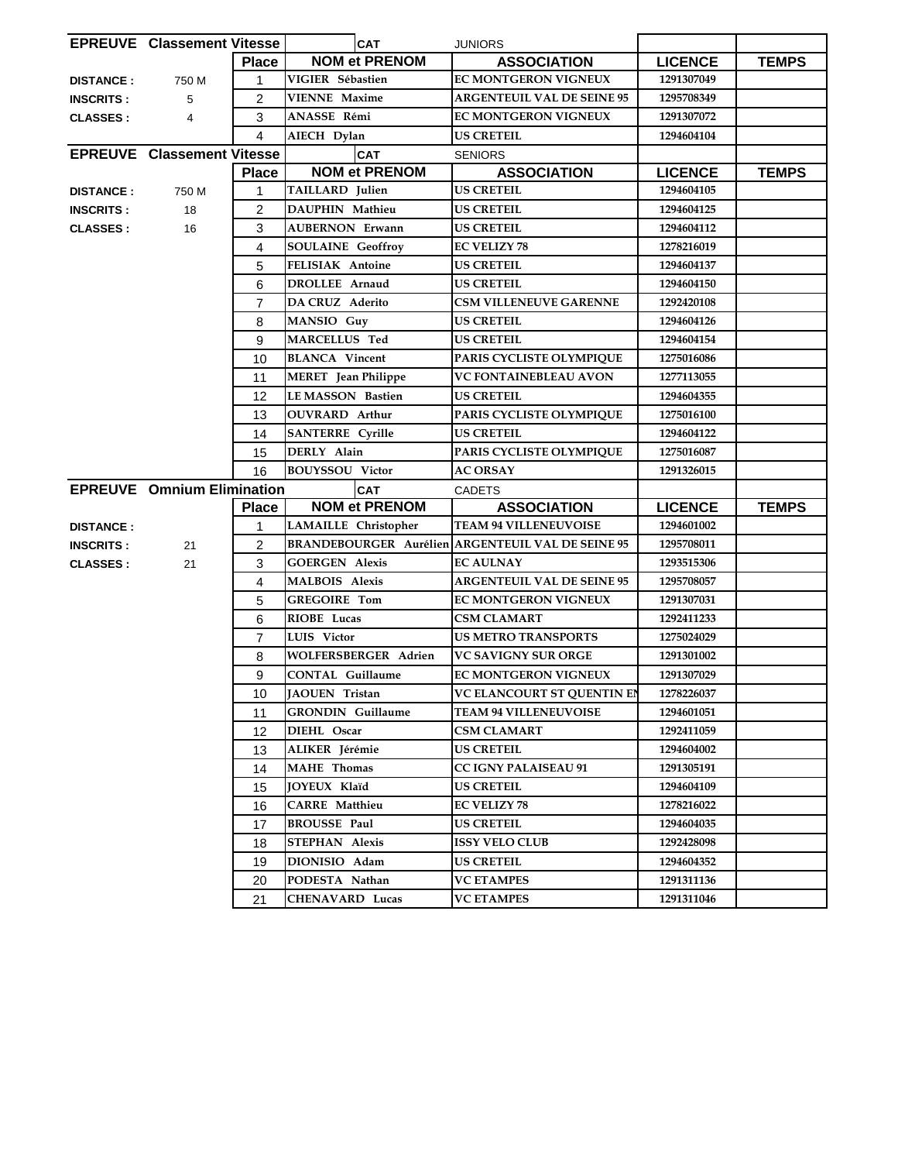|                  | <b>EPREUVE Classement Vitesse</b> |                | <b>CAT</b>                 | <b>JUNIORS</b>                                           |                |              |
|------------------|-----------------------------------|----------------|----------------------------|----------------------------------------------------------|----------------|--------------|
|                  |                                   | <b>Place</b>   | <b>NOM et PRENOM</b>       | <b>ASSOCIATION</b>                                       | <b>LICENCE</b> | <b>TEMPS</b> |
| <b>DISTANCE:</b> | 750 M                             | 1              | VIGIER Sébastien           | <b>EC MONTGERON VIGNEUX</b>                              | 1291307049     |              |
| <b>INSCRITS:</b> | 5                                 | $\overline{2}$ | <b>VIENNE</b> Maxime       | <b>ARGENTEUIL VAL DE SEINE 95</b>                        | 1295708349     |              |
| <b>CLASSES:</b>  | 4                                 | 3              | ANASSE Rémi                | <b>EC MONTGERON VIGNEUX</b>                              | 1291307072     |              |
|                  |                                   | $\overline{4}$ | AIECH Dylan                | <b>US CRETEIL</b>                                        | 1294604104     |              |
|                  | <b>EPREUVE Classement Vitesse</b> |                | <b>CAT</b>                 | <b>SENIORS</b>                                           |                |              |
|                  |                                   | <b>Place</b>   | <b>NOM et PRENOM</b>       | <b>ASSOCIATION</b>                                       | <b>LICENCE</b> | <b>TEMPS</b> |
| <b>DISTANCE:</b> | 750 M                             | 1              | TAILLARD Julien            | <b>US CRETEIL</b>                                        | 1294604105     |              |
| <b>INSCRITS:</b> | 18                                | $\overline{2}$ | DAUPHIN Mathieu            | <b>US CRETEIL</b>                                        | 1294604125     |              |
| <b>CLASSES:</b>  | 16                                | 3              | <b>AUBERNON Erwann</b>     | <b>US CRETEIL</b>                                        | 1294604112     |              |
|                  |                                   | $\overline{4}$ | <b>SOULAINE</b> Geoffroy   | <b>EC VELIZY 78</b>                                      | 1278216019     |              |
|                  |                                   | 5              | FELISIAK Antoine           | <b>US CRETEIL</b>                                        | 1294604137     |              |
|                  |                                   | 6              | DROLLEE Arnaud             | <b>US CRETEIL</b>                                        | 1294604150     |              |
|                  |                                   | $\overline{7}$ | DA CRUZ Aderito            | <b>CSM VILLENEUVE GARENNE</b>                            | 1292420108     |              |
|                  |                                   | 8              | MANSIO Guy                 | <b>US CRETEIL</b>                                        | 1294604126     |              |
|                  |                                   | 9              | <b>MARCELLUS Ted</b>       | <b>US CRETEIL</b>                                        | 1294604154     |              |
|                  |                                   | 10             | <b>BLANCA</b> Vincent      | PARIS CYCLISTE OLYMPIQUE                                 | 1275016086     |              |
|                  |                                   | 11             | <b>MERET</b> Jean Philippe | VC FONTAINEBLEAU AVON                                    | 1277113055     |              |
|                  |                                   | 12             | <b>LEMASSON Bastien</b>    | <b>US CRETEIL</b>                                        | 1294604355     |              |
|                  |                                   | 13             | <b>OUVRARD</b> Arthur      | PARIS CYCLISTE OLYMPIQUE                                 | 1275016100     |              |
|                  |                                   | 14             | <b>SANTERRE Cyrille</b>    | <b>US CRETEIL</b>                                        | 1294604122     |              |
|                  |                                   | 15             | DERLY Alain                | PARIS CYCLISTE OLYMPIQUE                                 | 1275016087     |              |
|                  |                                   | 16             | <b>BOUYSSOU Victor</b>     | <b>AC ORSAY</b>                                          | 1291326015     |              |
|                  | <b>EPREUVE</b> Omnium Elimination |                | <b>CAT</b>                 | <b>CADETS</b>                                            |                |              |
|                  |                                   | <b>Place</b>   | <b>NOM et PRENOM</b>       | <b>ASSOCIATION</b>                                       | <b>LICENCE</b> | <b>TEMPS</b> |
| <b>DISTANCE:</b> |                                   | 1              | LAMAILLE Christopher       | <b>TEAM 94 VILLENEUVOISE</b>                             | 1294601002     |              |
| <b>INSCRITS:</b> | 21                                | $\overline{2}$ |                            | <b>BRANDEBOURGER Aurélien ARGENTEUIL VAL DE SEINE 95</b> | 1295708011     |              |
| <b>CLASSES:</b>  | 21                                | 3              | <b>GOERGEN Alexis</b>      | <b>EC AULNAY</b>                                         | 1293515306     |              |
|                  |                                   | 4              | <b>MALBOIS Alexis</b>      | <b>ARGENTEUIL VAL DE SEINE 95</b>                        | 1295708057     |              |
|                  |                                   | 5              | <b>GREGOIRE Tom</b>        | EC MONTGERON VIGNEUX                                     | 1291307031     |              |
|                  |                                   | 6              | <b>RIOBE</b> Lucas         | <b>CSM CLAMART</b>                                       | 1292411233     |              |
|                  |                                   | $\overline{7}$ | LUIS Victor                | <b>US METRO TRANSPORTS</b>                               | 1275024029     |              |
|                  |                                   | 8              | WOLFERSBERGER Adrien       | <b>VC SAVIGNY SUR ORGE</b>                               | 1291301002     |              |
|                  |                                   | 9              | CONTAL Guillaume           | EC MONTGERON VIGNEUX                                     | 1291307029     |              |
|                  |                                   | 10             | <b>JAOUEN</b> Tristan      | <b>VC ELANCOURT ST QUENTIN EN</b>                        | 1278226037     |              |
|                  |                                   | 11             | <b>GRONDIN</b> Guillaume   | <b>TEAM 94 VILLENEUVOISE</b>                             | 1294601051     |              |
|                  |                                   | 12             | DIEHL Oscar                | CSM CLAMART                                              | 1292411059     |              |
|                  |                                   | 13             | ALIKER Jérémie             | <b>US CRETEIL</b>                                        | 1294604002     |              |
|                  |                                   | 14             | <b>MAHE</b> Thomas         | CC IGNY PALAISEAU 91                                     | 1291305191     |              |
|                  |                                   | 15             | JOYEUX Klaïd               | <b>US CRETEIL</b>                                        | 1294604109     |              |
|                  |                                   | 16             | <b>CARRE</b> Matthieu      | <b>EC VELIZY 78</b>                                      | 1278216022     |              |
|                  |                                   | 17             | <b>BROUSSE Paul</b>        | US CRETEIL                                               | 1294604035     |              |
|                  |                                   | 18             | <b>STEPHAN Alexis</b>      | <b>ISSY VELO CLUB</b>                                    | 1292428098     |              |
|                  |                                   | 19             | DIONISIO Adam              | <b>US CRETEIL</b>                                        | 1294604352     |              |
|                  |                                   | 20             | PODESTA Nathan             | <b>VC ETAMPES</b>                                        | 1291311136     |              |
|                  |                                   | 21             | <b>CHENAVARD Lucas</b>     | <b>VC ETAMPES</b>                                        | 1291311046     |              |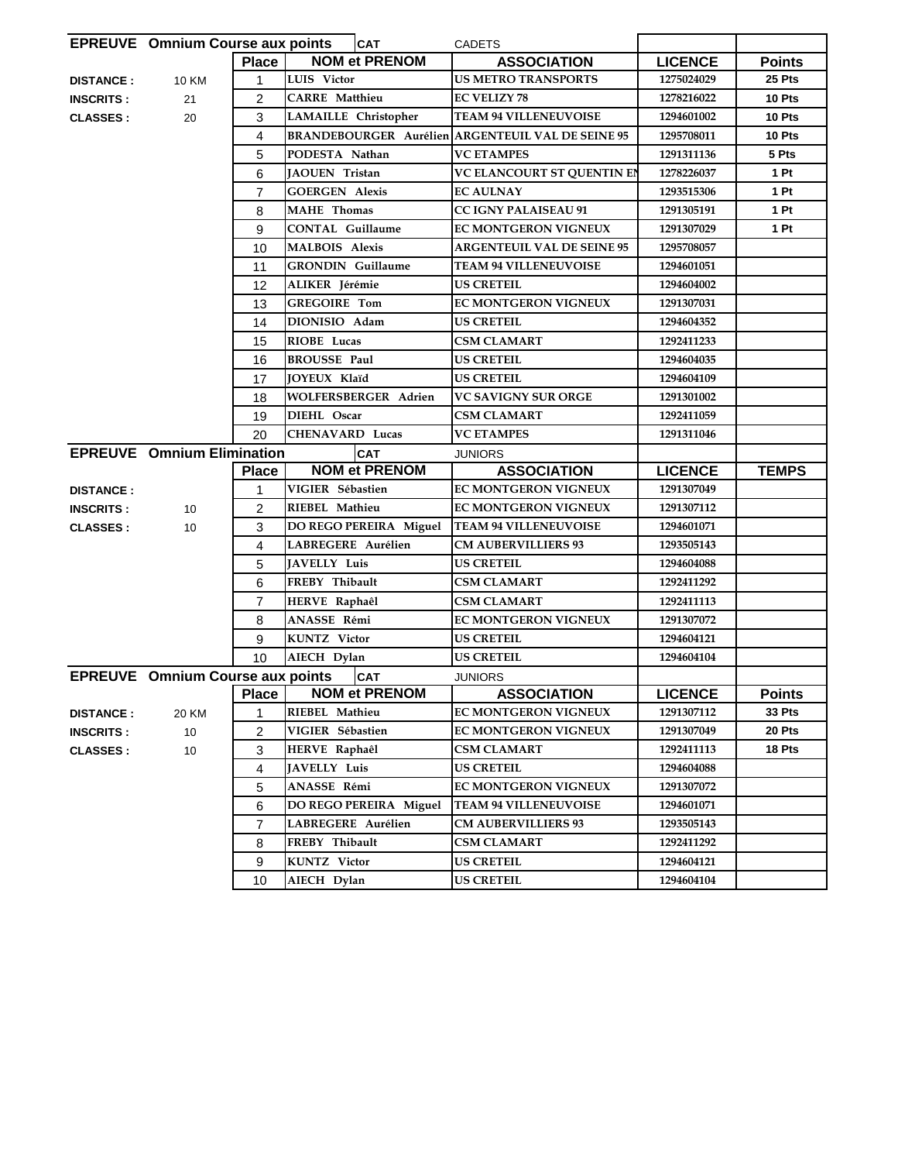|                  | <b>EPREUVE</b> Omnium Course aux points |                | <b>CAT</b>                    | <b>CADETS</b>                     |                |               |
|------------------|-----------------------------------------|----------------|-------------------------------|-----------------------------------|----------------|---------------|
|                  |                                         | <b>Place</b>   | <b>NOM et PRENOM</b>          | <b>ASSOCIATION</b>                | <b>LICENCE</b> | <b>Points</b> |
| <b>DISTANCE:</b> | <b>10 KM</b>                            | 1              | LUIS Victor                   | <b>US METRO TRANSPORTS</b>        | 1275024029     | 25 Pts        |
| <b>INSCRITS:</b> | 21                                      | $\overline{2}$ | <b>CARRE</b> Matthieu         | <b>EC VELIZY 78</b>               | 1278216022     | 10 Pts        |
| <b>CLASSES:</b>  | 20                                      | 3              | <b>LAMAILLE</b> Christopher   | <b>TEAM 94 VILLENEUVOISE</b>      | 1294601002     | 10 Pts        |
|                  |                                         | 4              | <b>BRANDEBOURGER Aurélien</b> | <b>ARGENTEUIL VAL DE SEINE 95</b> | 1295708011     | 10 Pts        |
|                  |                                         | 5              | PODESTA Nathan                | <b>VC ETAMPES</b>                 | 1291311136     | 5 Pts         |
|                  |                                         | 6              | <b>JAOUEN Tristan</b>         | VC ELANCOURT ST QUENTIN EN        | 1278226037     | 1 Pt          |
|                  |                                         | $\overline{7}$ | <b>GOERGEN Alexis</b>         | <b>EC AULNAY</b>                  | 1293515306     | 1 Pt          |
|                  |                                         | 8              | <b>MAHE</b> Thomas            | CC IGNY PALAISEAU 91              | 1291305191     | 1 Pt          |
|                  |                                         | 9              | <b>CONTAL Guillaume</b>       | EC MONTGERON VIGNEUX              | 1291307029     | 1 Pt          |
|                  |                                         | 10             | <b>MALBOIS Alexis</b>         | <b>ARGENTEUIL VAL DE SEINE 95</b> | 1295708057     |               |
|                  |                                         | 11             | <b>GRONDIN</b> Guillaume      | <b>TEAM 94 VILLENEUVOISE</b>      | 1294601051     |               |
|                  |                                         | 12             | ALIKER Jérémie                | <b>US CRETEIL</b>                 | 1294604002     |               |
|                  |                                         | 13             | <b>GREGOIRE Tom</b>           | EC MONTGERON VIGNEUX              | 1291307031     |               |
|                  |                                         | 14             | DIONISIO Adam                 | <b>US CRETEIL</b>                 | 1294604352     |               |
|                  |                                         | 15             | RIOBE Lucas                   | CSM CLAMART                       | 1292411233     |               |
|                  |                                         | 16             | <b>BROUSSE Paul</b>           | <b>US CRETEIL</b>                 | 1294604035     |               |
|                  |                                         | 17             | <b>JOYEUX Klaïd</b>           | <b>US CRETEIL</b>                 | 1294604109     |               |
|                  |                                         | 18             | <b>WOLFERSBERGER Adrien</b>   | <b>VC SAVIGNY SUR ORGE</b>        | 1291301002     |               |
|                  |                                         | 19             | DIEHL Oscar                   | <b>CSM CLAMART</b>                | 1292411059     |               |
|                  |                                         | 20             | <b>CHENAVARD Lucas</b>        | <b>VC ETAMPES</b>                 | 1291311046     |               |
|                  | <b>EPREUVE</b> Omnium Elimination       |                | <b>CAT</b>                    | <b>JUNIORS</b>                    |                |               |
|                  |                                         |                |                               |                                   |                |               |
|                  |                                         | <b>Place</b>   | <b>NOM et PRENOM</b>          | <b>ASSOCIATION</b>                | <b>LICENCE</b> | <b>TEMPS</b>  |
| <b>DISTANCE:</b> |                                         | 1              | VIGIER Sébastien              | EC MONTGERON VIGNEUX              | 1291307049     |               |
| <b>INSCRITS:</b> | 10                                      | $\overline{2}$ | RIEBEL Mathieu                | EC MONTGERON VIGNEUX              | 1291307112     |               |
| <b>CLASSES:</b>  | 10                                      | 3              | DO REGO PEREIRA Miguel        | <b>TEAM 94 VILLENEUVOISE</b>      | 1294601071     |               |
|                  |                                         | 4              | LABREGERE Aurélien            | <b>CM AUBERVILLIERS 93</b>        | 1293505143     |               |
|                  |                                         | 5              | <b>JAVELLY Luis</b>           | <b>US CRETEIL</b>                 | 1294604088     |               |
|                  |                                         | 6              | FREBY Thibault                | <b>CSM CLAMART</b>                | 1292411292     |               |
|                  |                                         | $\overline{7}$ | HERVE Raphaêl                 | <b>CSM CLAMART</b>                | 1292411113     |               |
|                  |                                         | 8              | ANASSE Rémi                   | EC MONTGERON VIGNEUX              | 1291307072     |               |
|                  |                                         | 9              | KUNTZ Victor                  | <b>US CRETEIL</b>                 | 1294604121     |               |
|                  |                                         | 10             | AIECH Dylan                   | <b>US CRETEIL</b>                 | 1294604104     |               |
|                  | <b>EPREUVE</b> Omnium Course aux points |                | <b>CAT</b>                    | <b>JUNIORS</b>                    |                |               |
|                  |                                         | <b>Place</b>   | <b>NOM et PRENOM</b>          | <b>ASSOCIATION</b>                | <b>LICENCE</b> | <b>Points</b> |
| <b>DISTANCE:</b> | 20 KM                                   | 1              | RIEBEL Mathieu                | EC MONTGERON VIGNEUX              | 1291307112     | 33 Pts        |
| <b>INSCRITS:</b> | 10                                      | $\overline{2}$ | VIGIER Sébastien              | EC MONTGERON VIGNEUX              | 1291307049     | 20 Pts        |
| <b>CLASSES:</b>  | 10                                      | 3              | HERVE Raphaêl                 | <b>CSM CLAMART</b>                | 1292411113     | 18 Pts        |
|                  |                                         | 4              | <b>JAVELLY Luis</b>           | <b>US CRETEIL</b>                 | 1294604088     |               |
|                  |                                         | 5              | ANASSE Rémi                   | EC MONTGERON VIGNEUX              | 1291307072     |               |
|                  |                                         | 6              | DO REGO PEREIRA Miguel        | <b>TEAM 94 VILLENEUVOISE</b>      | 1294601071     |               |
|                  |                                         | $\overline{7}$ | LABREGERE Aurélien            | <b>CM AUBERVILLIERS 93</b>        | 1293505143     |               |
|                  |                                         | 8              | FREBY Thibault                | <b>CSM CLAMART</b>                | 1292411292     |               |
|                  |                                         | 9              | <b>KUNTZ</b> Victor           | <b>US CRETEIL</b>                 | 1294604121     |               |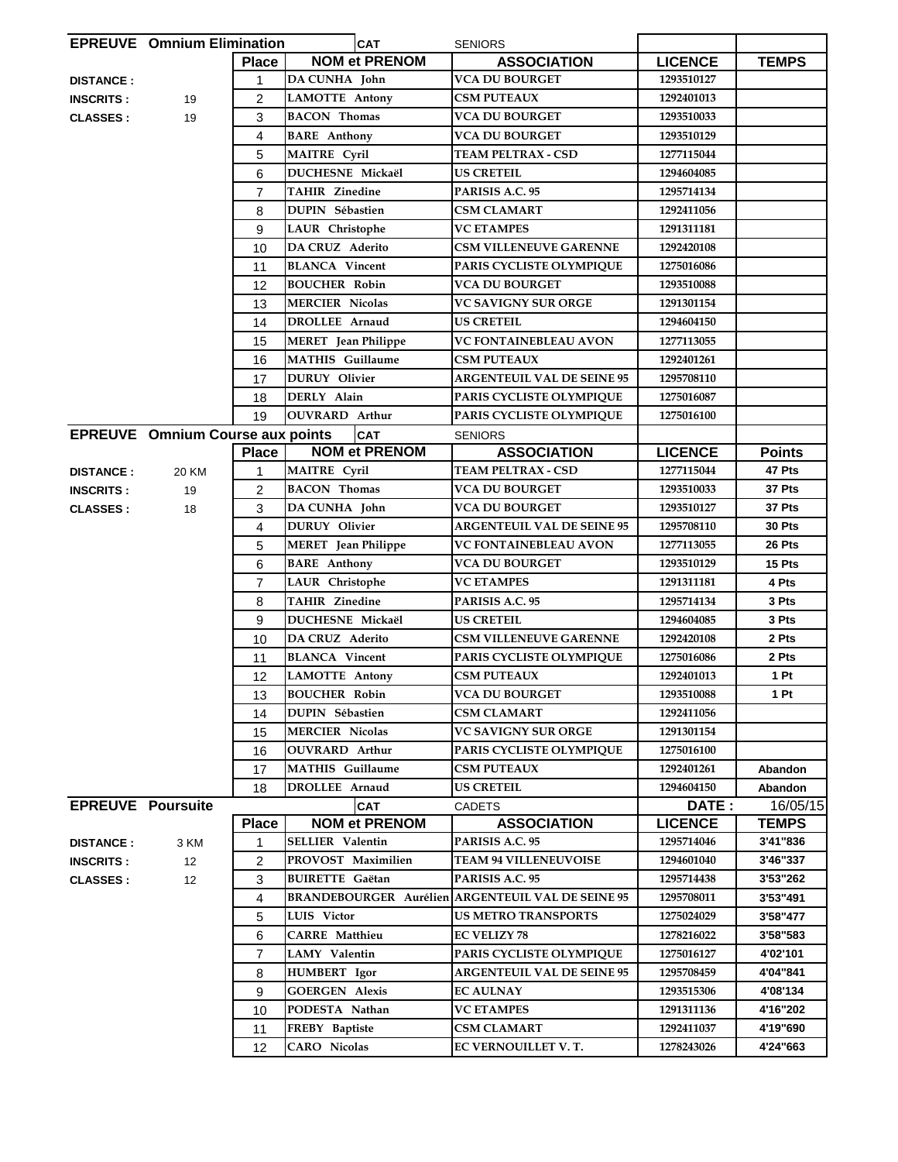|                          | <b>EPREUVE</b> Omnium Elimination       |                | <b>CAT</b>                 | <b>SENIORS</b>                                           |                |               |
|--------------------------|-----------------------------------------|----------------|----------------------------|----------------------------------------------------------|----------------|---------------|
|                          |                                         | <b>Place</b>   | <b>NOM et PRENOM</b>       | <b>ASSOCIATION</b>                                       | <b>LICENCE</b> | <b>TEMPS</b>  |
| <b>DISTANCE:</b>         |                                         | 1              | <b>DA CUNHA</b> John       | <b>VCA DU BOURGET</b>                                    | 1293510127     |               |
| <b>INSCRITS:</b>         | 19                                      | 2              | <b>LAMOTTE Antony</b>      | <b>CSM PUTEAUX</b>                                       | 1292401013     |               |
| <b>CLASSES:</b>          | 19                                      | 3              | <b>BACON Thomas</b>        | <b>VCA DU BOURGET</b>                                    | 1293510033     |               |
|                          |                                         | 4              | <b>BARE</b> Anthony        | <b>VCA DU BOURGET</b>                                    | 1293510129     |               |
|                          |                                         | 5              | <b>MAITRE Cyril</b>        | TEAM PELTRAX - CSD                                       | 1277115044     |               |
|                          |                                         | 6              | DUCHESNE Mickaël           | <b>US CRETEIL</b>                                        | 1294604085     |               |
|                          |                                         | $\overline{7}$ | <b>TAHIR Zinedine</b>      | PARISIS A.C. 95                                          | 1295714134     |               |
|                          |                                         | 8              | DUPIN Sébastien            | <b>CSM CLAMART</b>                                       | 1292411056     |               |
|                          |                                         | 9              | <b>LAUR</b> Christophe     | <b>VC ETAMPES</b>                                        | 1291311181     |               |
|                          |                                         | 10             | <b>DA CRUZ Aderito</b>     | <b>CSM VILLENEUVE GARENNE</b>                            | 1292420108     |               |
|                          |                                         | 11             | <b>BLANCA</b> Vincent      | PARIS CYCLISTE OLYMPIQUE                                 | 1275016086     |               |
|                          |                                         | 12             | <b>BOUCHER Robin</b>       | <b>VCA DU BOURGET</b>                                    | 1293510088     |               |
|                          |                                         | 13             | <b>MERCIER Nicolas</b>     | <b>VC SAVIGNY SUR ORGE</b>                               | 1291301154     |               |
|                          |                                         | 14             | <b>DROLLEE</b> Arnaud      | <b>US CRETEIL</b>                                        | 1294604150     |               |
|                          |                                         | 15             | <b>MERET</b> Jean Philippe | VC FONTAINEBLEAU AVON                                    | 1277113055     |               |
|                          |                                         | 16             | <b>MATHIS</b> Guillaume    | <b>CSM PUTEAUX</b>                                       | 1292401261     |               |
|                          |                                         | 17             | <b>DURUY</b> Olivier       | <b>ARGENTEUIL VAL DE SEINE 95</b>                        | 1295708110     |               |
|                          |                                         | 18             | DERLY Alain                | PARIS CYCLISTE OLYMPIQUE                                 | 1275016087     |               |
|                          |                                         | 19             | <b>OUVRARD</b> Arthur      | PARIS CYCLISTE OLYMPIQUE                                 | 1275016100     |               |
|                          | <b>EPREUVE</b> Omnium Course aux points |                | <b>CAT</b>                 | <b>SENIORS</b>                                           |                |               |
|                          |                                         | <b>Place</b>   | <b>NOM et PRENOM</b>       | <b>ASSOCIATION</b>                                       | <b>LICENCE</b> | <b>Points</b> |
| <b>DISTANCE:</b>         | 20 KM                                   | 1              | <b>MAITRE Cyril</b>        | TEAM PELTRAX - CSD                                       | 1277115044     | 47 Pts        |
| <b>INSCRITS:</b>         | 19                                      | $\overline{c}$ | <b>BACON</b> Thomas        | <b>VCA DU BOURGET</b>                                    | 1293510033     | 37 Pts        |
| <b>CLASSES:</b>          | 18                                      | 3              | DA CUNHA John              | VCA DU BOURGET                                           | 1293510127     | 37 Pts        |
|                          |                                         | 4              | <b>DURUY</b> Olivier       | <b>ARGENTEUIL VAL DE SEINE 95</b>                        | 1295708110     | <b>30 Pts</b> |
|                          |                                         | 5              | <b>MERET</b> Jean Philippe | VC FONTAINEBLEAU AVON                                    | 1277113055     | 26 Pts        |
|                          |                                         | 6              | <b>BARE</b> Anthony        | VCA DU BOURGET                                           | 1293510129     | 15 Pts        |
|                          |                                         | $\overline{7}$ | LAUR Christophe            | <b>VC ETAMPES</b>                                        | 1291311181     | 4 Pts         |
|                          |                                         | 8              | <b>TAHIR Zinedine</b>      | PARISIS A.C. 95                                          | 1295714134     | 3 Pts         |
|                          |                                         | 9              | DUCHESNE Mickaël           | <b>US CRETEIL</b>                                        | 1294604085     | 3 Pts         |
|                          |                                         | 10             | DA CRUZ Aderito            | <b>CSM VILLENEUVE GARENNE</b>                            | 1292420108     | 2 Pts         |
|                          |                                         | 11             | <b>BLANCA</b> Vincent      | PARIS CYCLISTE OLYMPIQUE                                 | 1275016086     | 2 Pts         |
|                          |                                         | 12             | <b>LAMOTTE Antony</b>      | <b>CSM PUTEAUX</b>                                       | 1292401013     | 1 Pt          |
|                          |                                         | 13             | <b>BOUCHER Robin</b>       | VCA DU BOURGET                                           | 1293510088     | 1 Pt          |
|                          |                                         | 14             | <b>DUPIN Sébastien</b>     | <b>CSM CLAMART</b>                                       | 1292411056     |               |
|                          |                                         | 15             | <b>MERCIER Nicolas</b>     | <b>VC SAVIGNY SUR ORGE</b>                               | 1291301154     |               |
|                          |                                         | 16             | <b>OUVRARD Arthur</b>      | PARIS CYCLISTE OLYMPIQUE                                 | 1275016100     |               |
|                          |                                         | 17             | <b>MATHIS</b> Guillaume    | <b>CSM PUTEAUX</b>                                       | 1292401261     | Abandon       |
|                          |                                         | 18             | DROLLEE Arnaud             | <b>US CRETEIL</b>                                        | 1294604150     | Abandon       |
| <b>EPREUVE Poursuite</b> |                                         |                | <b>CAT</b>                 | <b>CADETS</b>                                            | DATE:          | 16/05/15      |
|                          |                                         | <b>Place</b>   | <b>NOM et PRENOM</b>       | <b>ASSOCIATION</b>                                       | <b>LICENCE</b> | <b>TEMPS</b>  |
| <b>DISTANCE:</b>         | 3 KM                                    | 1              | SELLIER Valentin           | PARISIS A.C. 95                                          | 1295714046     | 3'41"836      |
| <b>INSCRITS:</b>         | 12                                      | $\overline{2}$ | PROVOST Maximilien         | <b>TEAM 94 VILLENEUVOISE</b>                             | 1294601040     | 3'46"337      |
| <b>CLASSES:</b>          | 12                                      | 3              | <b>BUIRETTE Gaëtan</b>     | PARISIS A.C. 95                                          | 1295714438     | 3'53"262      |
|                          |                                         | 4              |                            | <b>BRANDEBOURGER Aurélien ARGENTEUIL VAL DE SEINE 95</b> | 1295708011     | 3'53"491      |
|                          |                                         | 5              | LUIS Victor                | <b>US METRO TRANSPORTS</b>                               | 1275024029     | 3'58"477      |
|                          |                                         | 6              | <b>CARRE</b> Matthieu      | <b>EC VELIZY 78</b>                                      | 1278216022     | 3'58"583      |
|                          |                                         | $\overline{7}$ | LAMY Valentin              | PARIS CYCLISTE OLYMPIQUE                                 | 1275016127     | 4'02'101      |
|                          |                                         | 8              | <b>HUMBERT</b> Igor        | <b>ARGENTEUIL VAL DE SEINE 95</b>                        | 1295708459     | 4'04"841      |
|                          |                                         | 9              | <b>GOERGEN Alexis</b>      | <b>EC AULNAY</b>                                         | 1293515306     | 4'08'134      |
|                          |                                         | 10             | PODESTA Nathan             | <b>VC ETAMPES</b>                                        | 1291311136     | 4'16"202      |
|                          |                                         | 11             | FREBY Baptiste             | <b>CSM CLAMART</b>                                       | 1292411037     | 4'19"690      |
|                          |                                         | 12             | <b>CARO</b> Nicolas        | EC VERNOUILLET V.T.                                      | 1278243026     | 4'24"663      |
|                          |                                         |                |                            |                                                          |                |               |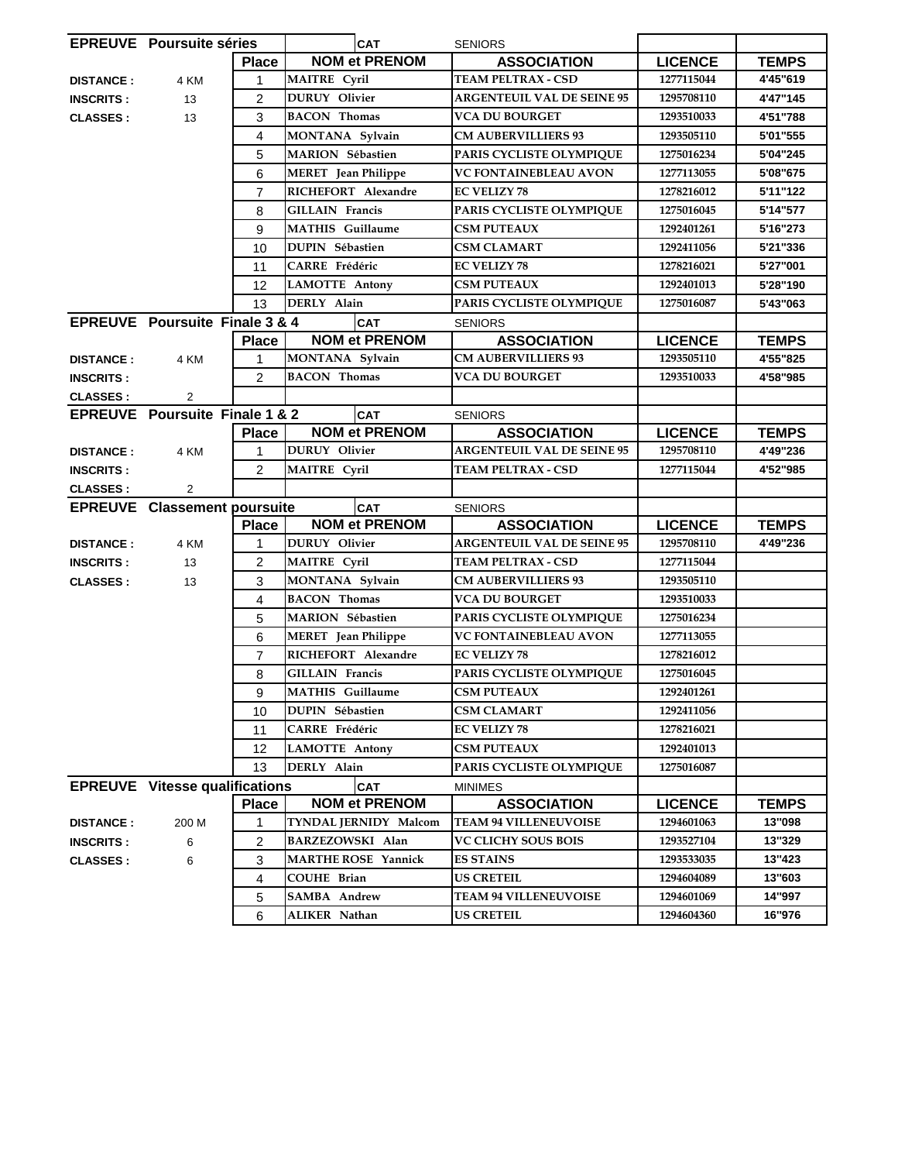|                  | <b>EPREUVE</b> Poursuite séries       |                | <b>CAT</b>                                        | <b>SENIORS</b>                                 |                          |              |
|------------------|---------------------------------------|----------------|---------------------------------------------------|------------------------------------------------|--------------------------|--------------|
|                  |                                       | <b>Place</b>   | <b>NOM et PRENOM</b>                              | <b>ASSOCIATION</b>                             | <b>LICENCE</b>           | <b>TEMPS</b> |
| <b>DISTANCE:</b> | 4 KM                                  | 1              | <b>MAITRE Cyril</b>                               | <b>TEAM PELTRAX - CSD</b>                      | 1277115044               | 4'45"619     |
| <b>INSCRITS:</b> | 13                                    | $\overline{c}$ | <b>DURUY</b> Olivier                              | <b>ARGENTEUIL VAL DE SEINE 95</b>              | 1295708110               | 4'47"145     |
| <b>CLASSES:</b>  | 13                                    | 3              | <b>BACON</b> Thomas                               | VCA DU BOURGET                                 | 1293510033               | 4'51"788     |
|                  |                                       | 4              | MONTANA Sylvain                                   | <b>CM AUBERVILLIERS 93</b>                     | 1293505110               | 5'01"555     |
|                  |                                       | 5              | <b>MARION</b> Sébastien                           | PARIS CYCLISTE OLYMPIQUE                       | 1275016234               | 5'04"245     |
|                  |                                       | 6              | <b>MERET</b> Jean Philippe                        | <b>VC FONTAINEBLEAU AVON</b>                   | 1277113055               | 5'08"675     |
|                  |                                       | $\overline{7}$ | RICHEFORT Alexandre                               | <b>EC VELIZY 78</b>                            | 1278216012               | 5'11"122     |
|                  |                                       | 8              | <b>GILLAIN Francis</b>                            | PARIS CYCLISTE OLYMPIQUE                       | 1275016045               | 5'14"577     |
|                  |                                       | 9              | <b>MATHIS</b> Guillaume                           | <b>CSM PUTEAUX</b>                             | 1292401261               | 5'16"273     |
|                  |                                       | 10             | DUPIN Sébastien                                   | <b>CSM CLAMART</b>                             | 1292411056               | 5'21"336     |
|                  |                                       | 11             | <b>CARRE</b> Frédéric                             | <b>EC VELIZY 78</b>                            | 1278216021               | 5'27"001     |
|                  |                                       | 12             | <b>LAMOTTE Antony</b>                             | <b>CSM PUTEAUX</b>                             | 1292401013               | 5'28"190     |
|                  |                                       | 13             | DERLY Alain                                       | PARIS CYCLISTE OLYMPIQUE                       | 1275016087               | 5'43"063     |
|                  | EPREUVE Poursuite Finale 3 & 4        |                | <b>CAT</b>                                        | <b>SENIORS</b>                                 |                          |              |
|                  |                                       | <b>Place</b>   | <b>NOM et PRENOM</b>                              | <b>ASSOCIATION</b>                             | <b>LICENCE</b>           | <b>TEMPS</b> |
| <b>DISTANCE:</b> | 4 KM                                  | 1              | MONTANA Sylvain                                   | <b>CM AUBERVILLIERS 93</b>                     | 1293505110               | 4'55"825     |
| <b>INSCRITS:</b> |                                       | $\overline{2}$ | <b>BACON Thomas</b>                               | <b>VCA DU BOURGET</b>                          | 1293510033               | 4'58"985     |
| <b>CLASSES:</b>  | 2                                     |                |                                                   |                                                |                          |              |
|                  | <b>EPREUVE</b> Poursuite Finale 1 & 2 |                | <b>CAT</b>                                        | <b>SENIORS</b>                                 |                          |              |
|                  |                                       | <b>Place</b>   | <b>NOM et PRENOM</b>                              | <b>ASSOCIATION</b>                             | <b>LICENCE</b>           | <b>TEMPS</b> |
| <b>DISTANCE:</b> | 4 KM                                  | 1              | <b>DURUY</b> Olivier                              | <b>ARGENTEUIL VAL DE SEINE 95</b>              | 1295708110               | 4'49"236     |
| <b>INSCRITS:</b> |                                       | $\overline{2}$ | <b>MAITRE</b> Cyril                               | TEAM PELTRAX - CSD                             | 1277115044               | 4'52"985     |
| <b>CLASSES:</b>  | $\overline{2}$                        |                |                                                   |                                                |                          |              |
|                  | <b>EPREUVE</b> Classement poursuite   |                | <b>CAT</b>                                        | <b>SENIORS</b>                                 |                          |              |
|                  |                                       | <b>Place</b>   | <b>NOM et PRENOM</b>                              | <b>ASSOCIATION</b>                             | <b>LICENCE</b>           | <b>TEMPS</b> |
| <b>DISTANCE:</b> | 4 KM                                  | 1              | <b>DURUY</b> Olivier                              | <b>ARGENTEUIL VAL DE SEINE 95</b>              | 1295708110               | 4'49"236     |
| <b>INSCRITS:</b> | 13                                    | $\overline{2}$ | <b>MAITRE Cyril</b>                               | <b>TEAM PELTRAX - CSD</b>                      | 1277115044               |              |
| <b>CLASSES:</b>  | 13                                    | 3              | MONTANA Sylvain                                   | <b>CM AUBERVILLIERS 93</b>                     | 1293505110               |              |
|                  |                                       | 4              | <b>BACON Thomas</b>                               | <b>VCA DU BOURGET</b>                          | 1293510033               |              |
|                  |                                       | 5              | MARION Sébastien                                  | PARIS CYCLISTE OLYMPIQUE                       | 1275016234               |              |
|                  |                                       | 6              | <b>MERET</b> Jean Philippe                        | VC FONTAINEBLEAU AVON                          | 1277113055               |              |
|                  |                                       | $\overline{7}$ | RICHEFORT Alexandre                               | <b>EC VELIZY 78</b>                            | 1278216012               |              |
|                  |                                       | 8              | <b>GILLAIN</b> Francis<br><b>MATHIS</b> Guillaume | PARIS CYCLISTE OLYMPIQUE<br><b>CSM PUTEAUX</b> | 1275016045               |              |
|                  |                                       | 9              |                                                   |                                                | 1292401261               |              |
|                  |                                       | 10             | <b>DUPIN Sébastien</b><br><b>CARRE</b> Frédéric   | <b>CSM CLAMART</b><br><b>EC VELIZY 78</b>      | 1292411056<br>1278216021 |              |
|                  |                                       | 11             | <b>LAMOTTE Antony</b>                             | <b>CSM PUTEAUX</b>                             | 1292401013               |              |
|                  |                                       | 12<br>13       | DERLY Alain                                       | PARIS CYCLISTE OLYMPIOUE                       | 1275016087               |              |
|                  | <b>EPREUVE</b> Vitesse qualifications |                | <b>CAT</b>                                        |                                                |                          |              |
|                  |                                       | <b>Place</b>   | <b>NOM et PRENOM</b>                              | <b>MINIMES</b><br><b>ASSOCIATION</b>           | <b>LICENCE</b>           | <b>TEMPS</b> |
| <b>DISTANCE:</b> | 200 M                                 | 1              | TYNDAL JERNIDY Malcom                             | <b>TEAM 94 VILLENEUVOISE</b>                   | 1294601063               | 13"098       |
| <b>INSCRITS:</b> | 6                                     | 2              | BARZEZOWSKI Alan                                  | <b>VC CLICHY SOUS BOIS</b>                     | 1293527104               | 13"329       |
| <b>CLASSES:</b>  | 6                                     | 3              | <b>MARTHE ROSE Yannick</b>                        | <b>ES STAINS</b>                               | 1293533035               | 13"423       |
|                  |                                       | 4              | <b>COUHE Brian</b>                                | <b>US CRETEIL</b>                              | 1294604089               | 13"603       |
|                  |                                       | 5              | <b>SAMBA Andrew</b>                               | <b>TEAM 94 VILLENEUVOISE</b>                   | 1294601069               | 14"997       |
|                  |                                       | 6              | ALIKER Nathan                                     | <b>US CRETEIL</b>                              | 1294604360               | 16"976       |
|                  |                                       |                |                                                   |                                                |                          |              |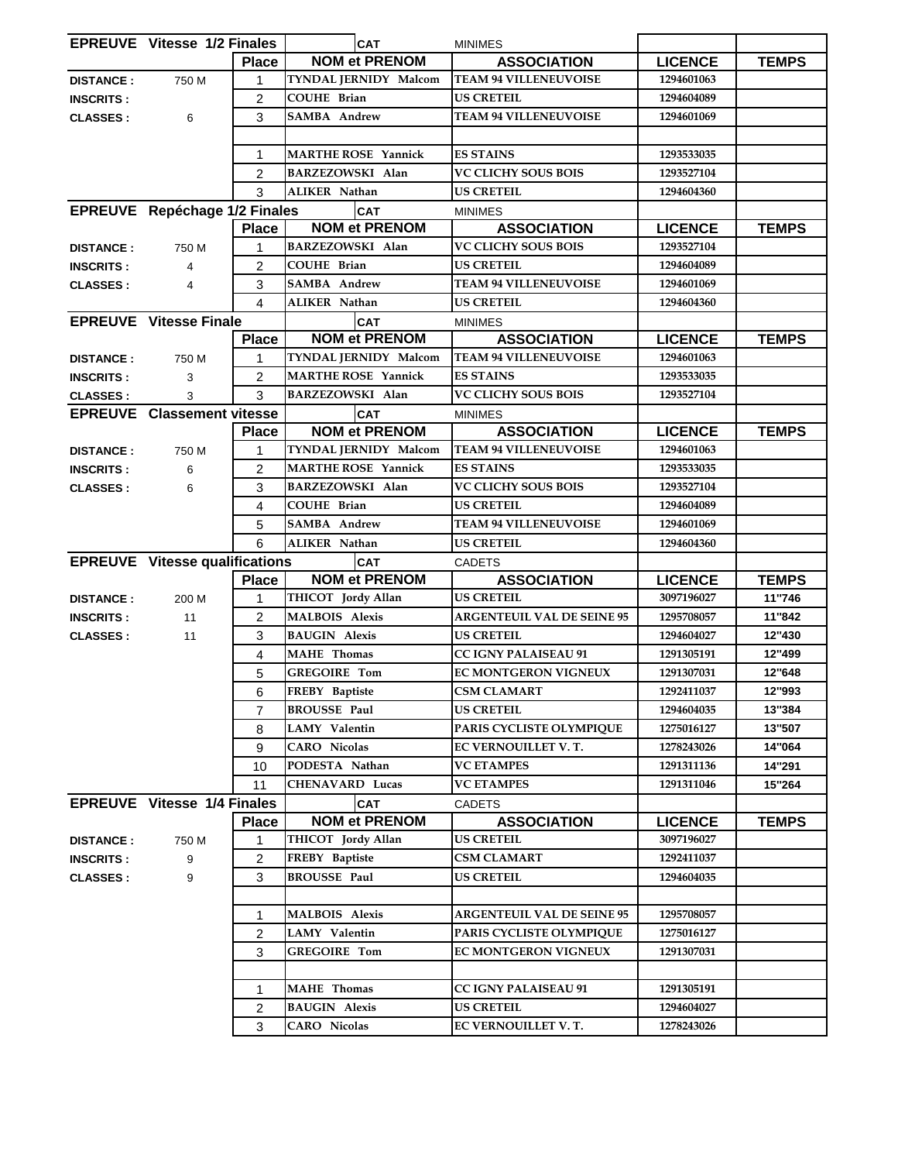|                  | <b>EPREUVE</b> Vitesse 1/2 Finales    |                | <b>CAT</b>                 | <b>MINIMES</b>                    |                |              |
|------------------|---------------------------------------|----------------|----------------------------|-----------------------------------|----------------|--------------|
|                  |                                       | <b>Place</b>   | <b>NOM et PRENOM</b>       | <b>ASSOCIATION</b>                | <b>LICENCE</b> | <b>TEMPS</b> |
| <b>DISTANCE:</b> | 750 M                                 | 1              | TYNDAL JERNIDY Malcom      | <b>TEAM 94 VILLENEUVOISE</b>      | 1294601063     |              |
| <b>INSCRITS:</b> |                                       | 2              | <b>COUHE Brian</b>         | <b>US CRETEIL</b>                 | 1294604089     |              |
| <b>CLASSES:</b>  | 6                                     | 3              | <b>SAMBA Andrew</b>        | <b>TEAM 94 VILLENEUVOISE</b>      | 1294601069     |              |
|                  |                                       |                |                            |                                   |                |              |
|                  |                                       | 1              | <b>MARTHE ROSE Yannick</b> | <b>ES STAINS</b>                  | 1293533035     |              |
|                  |                                       | 2              | <b>BARZEZOWSKI Alan</b>    | <b>VC CLICHY SOUS BOIS</b>        | 1293527104     |              |
|                  |                                       | 3              | <b>ALIKER Nathan</b>       | <b>US CRETEIL</b>                 | 1294604360     |              |
|                  | EPREUVE Repéchage 1/2 Finales         |                | <b>CAT</b>                 | <b>MINIMES</b>                    |                |              |
|                  |                                       | <b>Place</b>   | <b>NOM et PRENOM</b>       | <b>ASSOCIATION</b>                | <b>LICENCE</b> | <b>TEMPS</b> |
| <b>DISTANCE:</b> | 750 M                                 | 1              | <b>BARZEZOWSKI Alan</b>    | <b>VC CLICHY SOUS BOIS</b>        | 1293527104     |              |
| <b>INSCRITS:</b> | 4                                     | 2              | <b>COUHE Brian</b>         | <b>US CRETEIL</b>                 | 1294604089     |              |
| <b>CLASSES:</b>  | 4                                     | 3              | <b>SAMBA Andrew</b>        | <b>TEAM 94 VILLENEUVOISE</b>      | 1294601069     |              |
|                  |                                       | 4              | ALIKER Nathan              | <b>US CRETEIL</b>                 | 1294604360     |              |
|                  | <b>EPREUVE</b> Vitesse Finale         |                | <b>CAT</b>                 | <b>MINIMES</b>                    |                |              |
|                  |                                       | <b>Place</b>   | <b>NOM et PRENOM</b>       | <b>ASSOCIATION</b>                | <b>LICENCE</b> | <b>TEMPS</b> |
| <b>DISTANCE:</b> | 750 M                                 | 1              | TYNDAL JERNIDY Malcom      | <b>TEAM 94 VILLENEUVOISE</b>      | 1294601063     |              |
| <b>INSCRITS:</b> | 3                                     | 2              | <b>MARTHE ROSE Yannick</b> | <b>ES STAINS</b>                  | 1293533035     |              |
| <b>CLASSES:</b>  | 3                                     | 3              | BARZEZOWSKI Alan           | <b>VC CLICHY SOUS BOIS</b>        | 1293527104     |              |
|                  | <b>EPREUVE</b> Classement vitesse     |                | <b>CAT</b>                 | <b>MINIMES</b>                    |                |              |
|                  |                                       | <b>Place</b>   | <b>NOM et PRENOM</b>       | <b>ASSOCIATION</b>                | <b>LICENCE</b> | <b>TEMPS</b> |
| <b>DISTANCE:</b> | 750 M                                 | 1              | TYNDAL JERNIDY Malcom      | <b>TEAM 94 VILLENEUVOISE</b>      | 1294601063     |              |
| <b>INSCRITS:</b> | 6                                     | 2              | <b>MARTHE ROSE Yannick</b> | <b>ES STAINS</b>                  | 1293533035     |              |
| <b>CLASSES:</b>  | 6                                     | 3              | <b>BARZEZOWSKI Alan</b>    | VC CLICHY SOUS BOIS               | 1293527104     |              |
|                  |                                       | 4              | <b>COUHE Brian</b>         | <b>US CRETEIL</b>                 | 1294604089     |              |
|                  |                                       | 5              | <b>SAMBA Andrew</b>        | <b>TEAM 94 VILLENEUVOISE</b>      | 1294601069     |              |
|                  |                                       | 6              | ALIKER Nathan              | <b>US CRETEIL</b>                 | 1294604360     |              |
|                  | <b>EPREUVE</b> Vitesse qualifications |                | <b>CAT</b>                 | CADETS                            |                |              |
|                  |                                       | <b>Place</b>   | <b>NOM et PRENOM</b>       | <b>ASSOCIATION</b>                | <b>LICENCE</b> | <b>TEMPS</b> |
| <b>DISTANCE:</b> | 200 M                                 | 1              | THICOT Jordy Allan         | <b>US CRETEIL</b>                 | 3097196027     | 11"746       |
| <b>INSCRITS:</b> | 11                                    | $\overline{2}$ | <b>MALBOIS Alexis</b>      | <b>ARGENTEUIL VAL DE SEINE 95</b> | 1295708057     | 11"842       |
| <b>CLASSES:</b>  | 11                                    | 3              | <b>BAUGIN Alexis</b>       | <b>US CRETEIL</b>                 | 1294604027     | 12"430       |
|                  |                                       | 4              | <b>MAHE</b> Thomas         | <b>CC IGNY PALAISEAU 91</b>       | 1291305191     | 12"499       |
|                  |                                       | 5              | <b>GREGOIRE Tom</b>        | EC MONTGERON VIGNEUX              | 1291307031     | 12"648       |
|                  |                                       | 6              | FREBY Baptiste             | <b>CSM CLAMART</b>                | 1292411037     | 12"993       |
|                  |                                       | 7              | <b>BROUSSE Paul</b>        | <b>US CRETEIL</b>                 | 1294604035     | 13"384       |
|                  |                                       | 8              | LAMY Valentin              | PARIS CYCLISTE OLYMPIQUE          | 1275016127     | 13"507       |
|                  |                                       | 9              | <b>CARO</b> Nicolas        | EC VERNOUILLET V.T.               | 1278243026     | 14"064       |
|                  |                                       | 10             | PODESTA Nathan             | <b>VC ETAMPES</b>                 | 1291311136     | 14"291       |
|                  |                                       | 11             | <b>CHENAVARD Lucas</b>     | <b>VC ETAMPES</b>                 | 1291311046     | 15"264       |
|                  | <b>EPREUVE</b> Vitesse 1/4 Finales    |                | <b>CAT</b>                 | <b>CADETS</b>                     |                |              |
|                  |                                       | <b>Place</b>   | <b>NOM et PRENOM</b>       | <b>ASSOCIATION</b>                | <b>LICENCE</b> | <b>TEMPS</b> |
| <b>DISTANCE:</b> | 750 M                                 | 1              | THICOT Jordy Allan         | US CRETEIL                        | 3097196027     |              |
| <b>INSCRITS:</b> | 9                                     | 2              | FREBY Baptiste             | <b>CSM CLAMART</b>                | 1292411037     |              |
| <b>CLASSES:</b>  | 9                                     | 3              | <b>BROUSSE Paul</b>        | <b>US CRETEIL</b>                 | 1294604035     |              |
|                  |                                       |                |                            |                                   |                |              |
|                  |                                       | 1              | <b>MALBOIS Alexis</b>      | <b>ARGENTEUIL VAL DE SEINE 95</b> | 1295708057     |              |
|                  |                                       | 2              | LAMY Valentin              | PARIS CYCLISTE OLYMPIQUE          | 1275016127     |              |
|                  |                                       | 3              | <b>GREGOIRE Tom</b>        | EC MONTGERON VIGNEUX              | 1291307031     |              |
|                  |                                       |                |                            |                                   |                |              |
|                  |                                       | 1              | <b>MAHE</b> Thomas         | <b>CC IGNY PALAISEAU 91</b>       | 1291305191     |              |
|                  |                                       | 2              | <b>BAUGIN Alexis</b>       | <b>US CRETEIL</b>                 | 1294604027     |              |
|                  |                                       | 3              | <b>CARO</b> Nicolas        | EC VERNOUILLET V. T.              | 1278243026     |              |